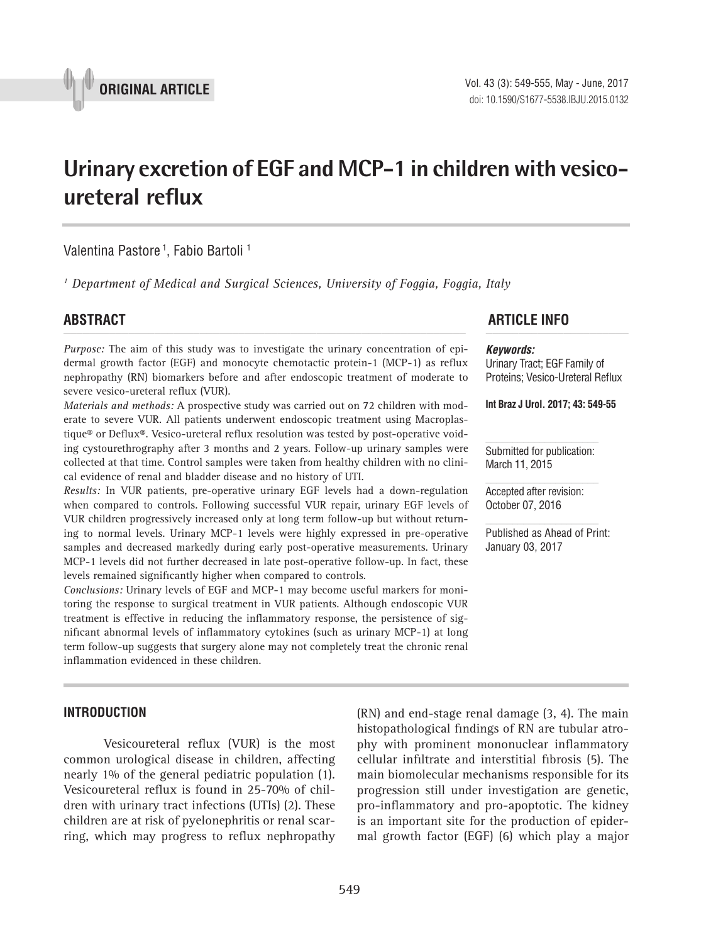

# **Urinary excretion of EGF and MCP-1 in children with vesicoureteral reflux \_\_\_\_\_\_\_\_\_\_\_\_\_\_\_\_\_\_\_\_\_\_\_\_\_\_\_\_\_\_\_\_\_\_\_\_\_\_\_\_\_\_\_\_\_\_\_**

Valentina Pastore<sup>1</sup>, Fabio Bartoli<sup>1</sup>

*1 Department of Medical and Surgical Sciences, University of Foggia, Foggia, Italy*

*Purpose:* The aim of this study was to investigate the urinary concentration of epidermal growth factor (EGF) and monocyte chemotactic protein-1 (MCP-1) as reflux nephropathy (RN) biomarkers before and after endoscopic treatment of moderate to severe vesico-ureteral reflux (VUR).

*Materials and methods:* A prospective study was carried out on 72 children with moderate to severe VUR. All patients underwent endoscopic treatment using Macroplastique® or Deflux®. Vesico-ureteral reflux resolution was tested by post-operative voiding cystourethrography after 3 months and 2 years. Follow-up urinary samples were collected at that time. Control samples were taken from healthy children with no clinical evidence of renal and bladder disease and no history of UTI.

*Results:* In VUR patients, pre-operative urinary EGF levels had a down-regulation when compared to controls. Following successful VUR repair, urinary EGF levels of VUR children progressively increased only at long term follow-up but without returning to normal levels. Urinary MCP-1 levels were highly expressed in pre-operative samples and decreased markedly during early post-operative measurements. Urinary MCP-1 levels did not further decreased in late post-operative follow-up. In fact, these levels remained significantly higher when compared to controls.

*Conclusions:* Urinary levels of EGF and MCP-1 may become useful markers for monitoring the response to surgical treatment in VUR patients. Although endoscopic VUR treatment is effective in reducing the inflammatory response, the persistence of significant abnormal levels of inflammatory cytokines (such as urinary MCP-1) at long term follow-up suggests that surgery alone may not completely treat the chronic renal inflammation evidenced in these children.

# **INTRODUCTION**

Vesicoureteral reflux (VUR) is the most common urological disease in children, affecting nearly 1% of the general pediatric population (1). Vesicoureteral reflux is found in 25-70% of children with urinary tract infections (UTIs) (2). These children are at risk of pyelonephritis or renal scarring, which may progress to reflux nephropathy

# **ABSTRACT ARTICLE INFO** *\_\_\_\_\_\_\_\_\_\_\_\_\_\_\_\_\_\_\_\_\_\_\_\_\_\_\_\_\_\_\_\_\_\_\_\_\_\_\_\_\_\_\_\_\_\_\_\_\_\_\_\_\_\_\_\_\_\_\_\_\_\_ \_\_\_\_\_\_\_\_\_\_\_\_\_\_\_\_\_\_\_\_\_\_*

*Keywords:* Urinary Tract; EGF Family of Proteins; Vesico-Ureteral Reflux

**Int Braz J Urol. 2017; 43: 549-55**

Submitted for publication: March 11, 2015

Accepted after revision: October 07, 2016

(RN) and end-stage renal damage (3, 4). The main histopathological findings of RN are tubular atrophy with prominent mononuclear inflammatory cellular infiltrate and interstitial fibrosis (5). The main biomolecular mechanisms responsible for its progression still under investigation are genetic, pro-inflammatory and pro-apoptotic. The kidney is an important site for the production of epidermal growth factor (EGF) (6) which play a major

Published as Ahead of Print: January 03, 2017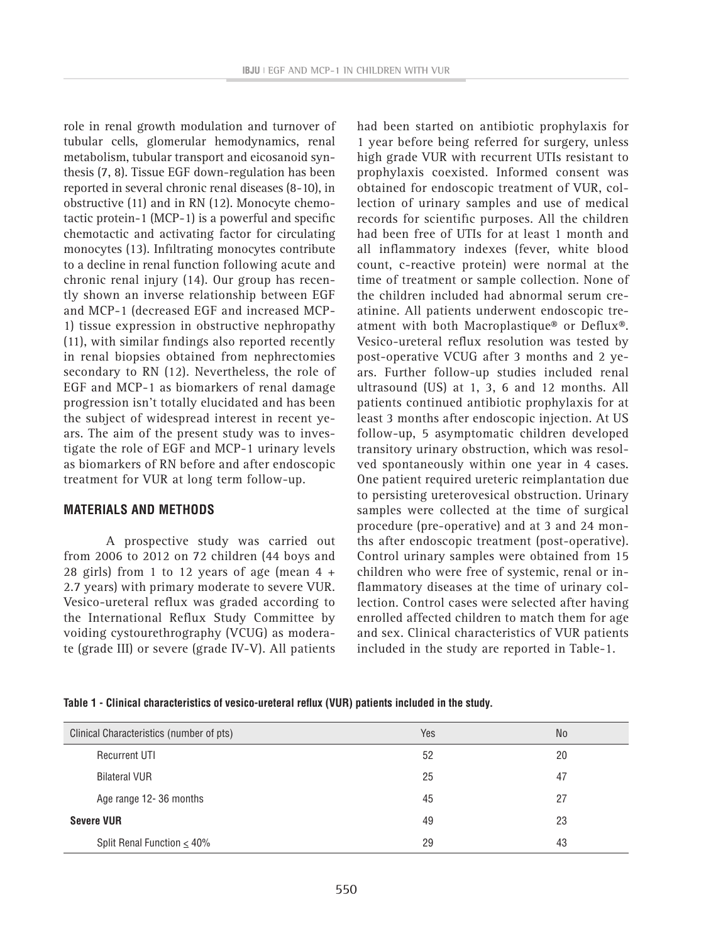role in renal growth modulation and turnover of tubular cells, glomerular hemodynamics, renal metabolism, tubular transport and eicosanoid synthesis (7, 8). Tissue EGF down-regulation has been reported in several chronic renal diseases (8-10), in obstructive (11) and in RN (12). Monocyte chemotactic protein-1 (MCP-1) is a powerful and specific chemotactic and activating factor for circulating monocytes (13). Infiltrating monocytes contribute to a decline in renal function following acute and chronic renal injury (14). Our group has recently shown an inverse relationship between EGF and MCP-1 (decreased EGF and increased MCP-1) tissue expression in obstructive nephropathy (11), with similar findings also reported recently in renal biopsies obtained from nephrectomies secondary to RN (12). Nevertheless, the role of EGF and MCP-1 as biomarkers of renal damage progression isn't totally elucidated and has been the subject of widespread interest in recent years. The aim of the present study was to investigate the role of EGF and MCP-1 urinary levels as biomarkers of RN before and after endoscopic treatment for VUR at long term follow-up.

#### **MATERIALS AND METHODS**

A prospective study was carried out from 2006 to 2012 on 72 children (44 boys and 28 girls) from 1 to 12 years of age (mean  $4 +$ 2.7 years) with primary moderate to severe VUR. Vesico-ureteral reflux was graded according to the International Reflux Study Committee by voiding cystourethrography (VCUG) as moderate (grade III) or severe (grade IV-V). All patients had been started on antibiotic prophylaxis for 1 year before being referred for surgery, unless high grade VUR with recurrent UTIs resistant to prophylaxis coexisted. Informed consent was obtained for endoscopic treatment of VUR, collection of urinary samples and use of medical records for scientific purposes. All the children had been free of UTIs for at least 1 month and all inflammatory indexes (fever, white blood count, c-reactive protein) were normal at the time of treatment or sample collection. None of the children included had abnormal serum creatinine. All patients underwent endoscopic treatment with both Macroplastique® or Deflux®. Vesico-ureteral reflux resolution was tested by post-operative VCUG after 3 months and 2 years. Further follow-up studies included renal ultrasound (US) at 1, 3, 6 and 12 months. All patients continued antibiotic prophylaxis for at least 3 months after endoscopic injection. At US follow-up, 5 asymptomatic children developed transitory urinary obstruction, which was resolved spontaneously within one year in 4 cases. One patient required ureteric reimplantation due to persisting ureterovesical obstruction. Urinary samples were collected at the time of surgical procedure (pre-operative) and at 3 and 24 months after endoscopic treatment (post-operative). Control urinary samples were obtained from 15 children who were free of systemic, renal or inflammatory diseases at the time of urinary collection. Control cases were selected after having enrolled affected children to match them for age and sex. Clinical characteristics of VUR patients included in the study are reported in Table-1.

**Table 1 - Clinical characteristics of vesico-ureteral reflux (VUR) patients included in the study.**

| Clinical Characteristics (number of pts) | Yes | <b>No</b> |
|------------------------------------------|-----|-----------|
| <b>Recurrent UTI</b>                     | 52  | 20        |
| <b>Bilateral VUR</b>                     | 25  | 47        |
| Age range 12-36 months                   | 45  | 27        |
| <b>Severe VUR</b>                        | 49  | 23        |
| Split Renal Function $\leq 40\%$         | 29  | 43        |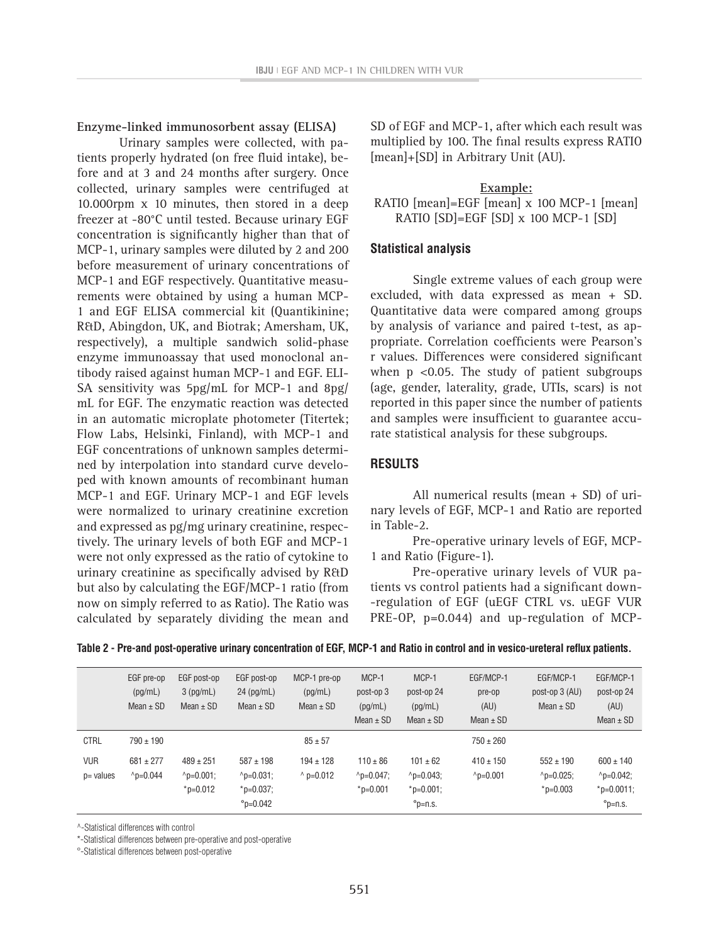**Enzyme-linked immunosorbent assay (ELISA)**

Urinary samples were collected, with patients properly hydrated (on free fluid intake), before and at 3 and 24 months after surgery. Once collected, urinary samples were centrifuged at 10.000rpm x 10 minutes, then stored in a deep freezer at -80°C until tested. Because urinary EGF concentration is significantly higher than that of MCP-1, urinary samples were diluted by 2 and 200 before measurement of urinary concentrations of MCP-1 and EGF respectively. Quantitative measurements were obtained by using a human MCP-1 and EGF ELISA commercial kit (Quantikinine; R&D, Abingdon, UK, and Biotrak; Amersham, UK, respectively), a multiple sandwich solid-phase enzyme immunoassay that used monoclonal antibody raised against human MCP-1 and EGF. ELI-SA sensitivity was 5pg/mL for MCP-1 and 8pg/ mL for EGF. The enzymatic reaction was detected in an automatic microplate photometer (Titertek; Flow Labs, Helsinki, Finland), with MCP-1 and EGF concentrations of unknown samples determined by interpolation into standard curve developed with known amounts of recombinant human MCP-1 and EGF. Urinary MCP-1 and EGF levels were normalized to urinary creatinine excretion and expressed as pg/mg urinary creatinine, respectively. The urinary levels of both EGF and MCP-1 were not only expressed as the ratio of cytokine to urinary creatinine as specifically advised by R&D but also by calculating the EGF/MCP-1 ratio (from now on simply referred to as Ratio). The Ratio was calculated by separately dividing the mean and

SD of EGF and MCP-1, after which each result was multiplied by 100. The final results express RATIO [mean]+[SD] in Arbitrary Unit (AU).

**Example:** RATIO [mean]=EGF [mean] x 100 MCP-1 [mean] RATIO [SD]=EGF [SD] x 100 MCP-1 [SD]

#### **Statistical analysis**

Single extreme values of each group were excluded, with data expressed as mean + SD. Quantitative data were compared among groups by analysis of variance and paired t-test, as appropriate. Correlation coefficients were Pearson's r values. Differences were considered significant when  $p \leq 0.05$ . The study of patient subgroups (age, gender, laterality, grade, UTIs, scars) is not reported in this paper since the number of patients and samples were insufficient to guarantee accurate statistical analysis for these subgroups.

#### **RESULTS**

All numerical results (mean + SD) of urinary levels of EGF, MCP-1 and Ratio are reported in Table-2.

Pre-operative urinary levels of EGF, MCP-1 and Ratio (Figure-1).

Pre-operative urinary levels of VUR patients vs control patients had a significant down- -regulation of EGF (uEGF CTRL vs. uEGF VUR PRE-OP, p=0.044) and up-regulation of MCP-

|                  | EGF pre-op<br>(pg/mL)<br>Mean $\pm$ SD | EGF post-op<br>$3$ (pg/mL)<br>Mean $\pm$ SD            | EGF post-op<br>$24$ (pg/mL)<br>Mean $\pm$ SD                                       | MCP-1 pre-op<br>(pg/mL)<br>Mean $\pm$ SD | MCP-1<br>post-op 3<br>(pg/mL)<br>Mean $\pm$ SD        | MCP-1<br>post-op 24<br>(pg/mL)<br>Mean $\pm$ SD                              | EGF/MCP-1<br>pre-op<br>(AU)<br>Mean $\pm$ SD | EGF/MCP-1<br>post-op 3 (AU)<br>Mean $\pm$ SD           | EGF/MCP-1<br>post-op 24<br>(AU)<br>Mean $\pm$ SD                           |
|------------------|----------------------------------------|--------------------------------------------------------|------------------------------------------------------------------------------------|------------------------------------------|-------------------------------------------------------|------------------------------------------------------------------------------|----------------------------------------------|--------------------------------------------------------|----------------------------------------------------------------------------|
| <b>CTRL</b>      | $790 \pm 190$                          |                                                        |                                                                                    | $85 \pm 57$                              |                                                       |                                                                              | $750 \pm 260$                                |                                                        |                                                                            |
| VUR<br>p= values | $681 \pm 277$<br>$^{\wedge}$ p=0.044   | $489 \pm 251$<br>$^{\wedge}$ p=0.001;<br>$*_{D=0.012}$ | $587 \pm 198$<br>$^{\wedge}$ p=0.031;<br>$^{\star}$ p=0.037;<br>$^{\circ}$ p=0.042 | $194 \pm 128$<br>$^{\wedge}$ p=0.012     | $110 \pm 86$<br>$^{\wedge}$ p=0.047;<br>$*_{p=0.001}$ | $101 \pm 62$<br>$^{\wedge}$ p=0.043;<br>$*_{p=0.001}$ ;<br>$^{\circ}$ p=n.s. | $410 \pm 150$<br>$^{\wedge}$ p=0.001         | $552 \pm 190$<br>$^{\wedge}$ p=0.025;<br>$*_{D=0.003}$ | $600 \pm 140$<br>$^{\wedge}$ p=0.042;<br>$*p=0.0011;$<br>$^{\circ}$ p=n.s. |

**Table 2 - Pre-and post-operative urinary concentration of EGF, MCP-1 and Ratio in control and in vesico-ureteral reflux patients.**

^-Statistical differences with control

\*-Statistical differences between pre-operative and post-operative

°-Statistical differences between post-operative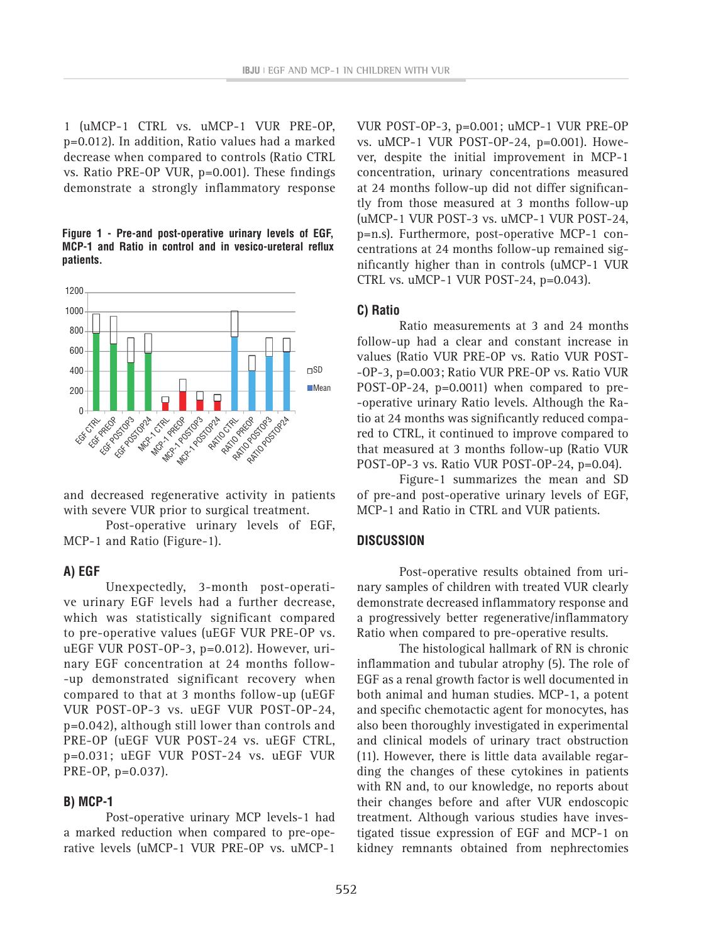1 (uMCP-1 CTRL vs. uMCP-1 VUR PRE-OP, p=0.012). In addition, Ratio values had a marked decrease when compared to controls (Ratio CTRL vs. Ratio PRE-OP VUR, p=0.001). These findings demonstrate a strongly inflammatory response

**Figure 1 - Pre-and post-operative urinary levels of EGF, MCP-1 and Ratio in control and in vesico-ureteral reflux patients.**



and decreased regenerative activity in patients with severe VUR prior to surgical treatment.

Post-operative urinary levels of EGF, MCP-1 and Ratio (Figure-1).

#### **A) EGF**

Unexpectedly, 3-month post-operative urinary EGF levels had a further decrease, which was statistically significant compared to pre-operative values (uEGF VUR PRE-OP vs. uEGF VUR POST-OP-3, p=0.012). However, urinary EGF concentration at 24 months follow- -up demonstrated significant recovery when compared to that at 3 months follow-up (uEGF VUR POST-OP-3 vs. uEGF VUR POST-OP-24, p=0.042), although still lower than controls and PRE-OP (uEGF VUR POST-24 vs. uEGF CTRL, p=0.031; uEGF VUR POST-24 vs. uEGF VUR PRE-OP, p=0.037).

## **B) MCP-1**

Post-operative urinary MCP levels-1 had a marked reduction when compared to pre-operative levels (uMCP-1 VUR PRE-OP vs. uMCP-1 VUR POST-OP-3, p=0.001; uMCP-1 VUR PRE-OP vs. uMCP-1 VUR POST-OP-24, p=0.001). However, despite the initial improvement in MCP-1 concentration, urinary concentrations measured at 24 months follow-up did not differ significantly from those measured at 3 months follow-up (uMCP-1 VUR POST-3 vs. uMCP-1 VUR POST-24, p=n.s). Furthermore, post-operative MCP-1 concentrations at 24 months follow-up remained significantly higher than in controls (uMCP-1 VUR CTRL vs. uMCP-1 VUR POST-24, p=0.043).

#### **C) Ratio**

Ratio measurements at 3 and 24 months follow-up had a clear and constant increase in values (Ratio VUR PRE-OP vs. Ratio VUR POST- -OP-3, p=0.003; Ratio VUR PRE-OP vs. Ratio VUR POST-OP-24, p=0.0011) when compared to pre- -operative urinary Ratio levels. Although the Ratio at 24 months was significantly reduced compared to CTRL, it continued to improve compared to that measured at 3 months follow-up (Ratio VUR POST-OP-3 vs. Ratio VUR POST-OP-24, p=0.04).

Figure-1 summarizes the mean and SD of pre-and post-operative urinary levels of EGF, MCP-1 and Ratio in CTRL and VUR patients.

### **DISCUSSION**

Post-operative results obtained from urinary samples of children with treated VUR clearly demonstrate decreased inflammatory response and a progressively better regenerative/inflammatory Ratio when compared to pre-operative results.

The histological hallmark of RN is chronic inflammation and tubular atrophy (5). The role of EGF as a renal growth factor is well documented in both animal and human studies. MCP-1, a potent and specific chemotactic agent for monocytes, has also been thoroughly investigated in experimental and clinical models of urinary tract obstruction (11). However, there is little data available regarding the changes of these cytokines in patients with RN and, to our knowledge, no reports about their changes before and after VUR endoscopic treatment. Although various studies have investigated tissue expression of EGF and MCP-1 on kidney remnants obtained from nephrectomies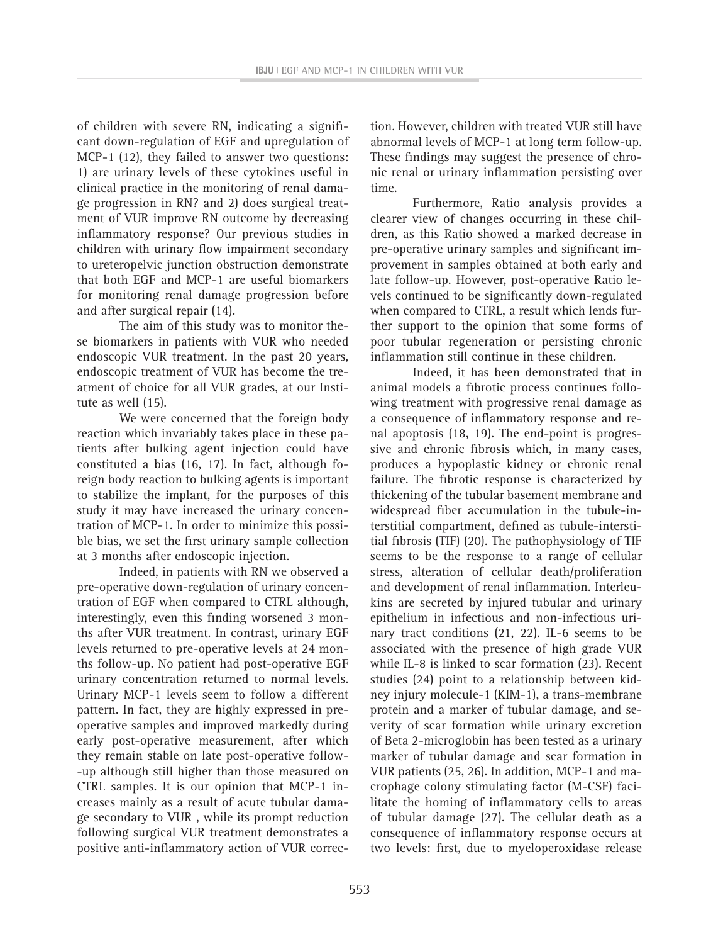of children with severe RN, indicating a significant down-regulation of EGF and upregulation of MCP-1 (12), they failed to answer two questions: 1) are urinary levels of these cytokines useful in clinical practice in the monitoring of renal damage progression in RN? and 2) does surgical treatment of VUR improve RN outcome by decreasing inflammatory response? Our previous studies in children with urinary flow impairment secondary to ureteropelvic junction obstruction demonstrate that both EGF and MCP-1 are useful biomarkers for monitoring renal damage progression before and after surgical repair (14).

The aim of this study was to monitor these biomarkers in patients with VUR who needed endoscopic VUR treatment. In the past 20 years, endoscopic treatment of VUR has become the treatment of choice for all VUR grades, at our Institute as well (15).

We were concerned that the foreign body reaction which invariably takes place in these patients after bulking agent injection could have constituted a bias (16, 17). In fact, although foreign body reaction to bulking agents is important to stabilize the implant, for the purposes of this study it may have increased the urinary concentration of MCP-1. In order to minimize this possible bias, we set the first urinary sample collection at 3 months after endoscopic injection.

Indeed, in patients with RN we observed a pre-operative down-regulation of urinary concentration of EGF when compared to CTRL although, interestingly, even this finding worsened 3 months after VUR treatment. In contrast, urinary EGF levels returned to pre-operative levels at 24 months follow-up. No patient had post-operative EGF urinary concentration returned to normal levels. Urinary MCP-1 levels seem to follow a different pattern. In fact, they are highly expressed in preoperative samples and improved markedly during early post-operative measurement, after which they remain stable on late post-operative follow- -up although still higher than those measured on CTRL samples. It is our opinion that MCP-1 increases mainly as a result of acute tubular damage secondary to VUR , while its prompt reduction following surgical VUR treatment demonstrates a positive anti-inflammatory action of VUR correc-

tion. However, children with treated VUR still have abnormal levels of MCP-1 at long term follow-up. These findings may suggest the presence of chronic renal or urinary inflammation persisting over time.

Furthermore, Ratio analysis provides a clearer view of changes occurring in these children, as this Ratio showed a marked decrease in pre-operative urinary samples and significant improvement in samples obtained at both early and late follow-up. However, post-operative Ratio levels continued to be significantly down-regulated when compared to CTRL, a result which lends further support to the opinion that some forms of poor tubular regeneration or persisting chronic inflammation still continue in these children.

Indeed, it has been demonstrated that in animal models a fibrotic process continues following treatment with progressive renal damage as a consequence of inflammatory response and renal apoptosis (18, 19). The end-point is progressive and chronic fibrosis which, in many cases, produces a hypoplastic kidney or chronic renal failure. The fibrotic response is characterized by thickening of the tubular basement membrane and widespread fiber accumulation in the tubule-interstitial compartment, defined as tubule-interstitial fibrosis (TIF) (20). The pathophysiology of TIF seems to be the response to a range of cellular stress, alteration of cellular death/proliferation and development of renal inflammation. Interleukins are secreted by injured tubular and urinary epithelium in infectious and non-infectious urinary tract conditions (21, 22). IL-6 seems to be associated with the presence of high grade VUR while IL-8 is linked to scar formation (23). Recent studies (24) point to a relationship between kidney injury molecule-1 (KIM-1), a trans-membrane protein and a marker of tubular damage, and severity of scar formation while urinary excretion of Beta 2-microglobin has been tested as a urinary marker of tubular damage and scar formation in VUR patients (25, 26). In addition, MCP-1 and macrophage colony stimulating factor (M-CSF) facilitate the homing of inflammatory cells to areas of tubular damage (27). The cellular death as a consequence of inflammatory response occurs at two levels: first, due to myeloperoxidase release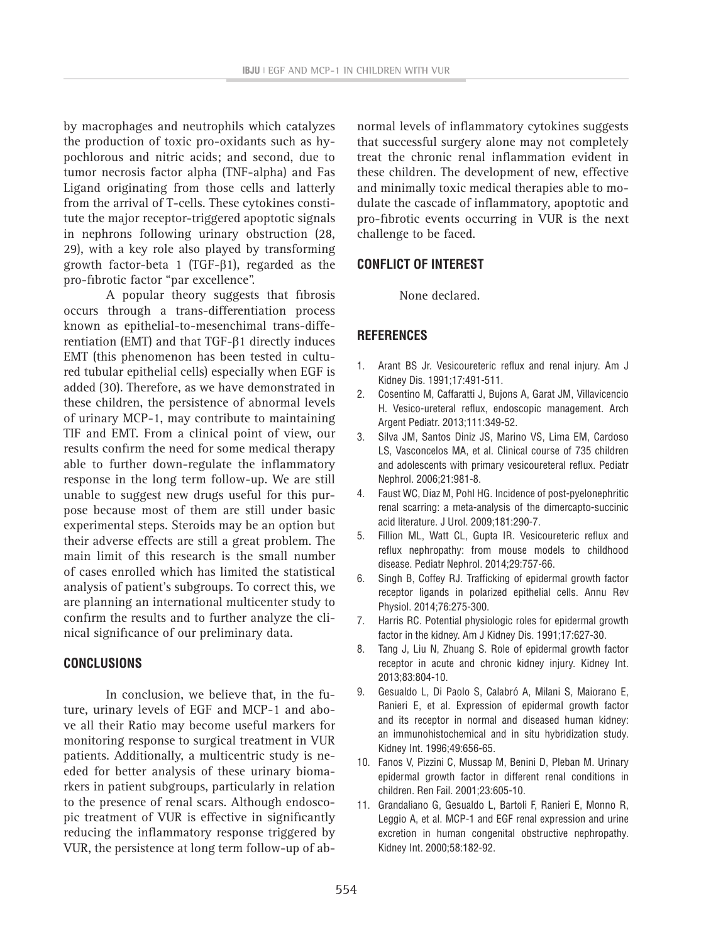by macrophages and neutrophils which catalyzes the production of toxic pro-oxidants such as hypochlorous and nitric acids; and second, due to tumor necrosis factor alpha (TNF-alpha) and Fas Ligand originating from those cells and latterly from the arrival of T-cells. These cytokines constitute the major receptor-triggered apoptotic signals in nephrons following urinary obstruction (28, 29), with a key role also played by transforming growth factor-beta 1 (TGF- $\beta$ 1), regarded as the pro-fibrotic factor "par excellence".

A popular theory suggests that fibrosis occurs through a trans-differentiation process known as epithelial-to-mesenchimal trans-differentiation (EMT) and that TGF-β1 directly induces EMT (this phenomenon has been tested in cultured tubular epithelial cells) especially when EGF is added (30). Therefore, as we have demonstrated in these children, the persistence of abnormal levels of urinary MCP-1, may contribute to maintaining TIF and EMT. From a clinical point of view, our results confirm the need for some medical therapy able to further down-regulate the inflammatory response in the long term follow-up. We are still unable to suggest new drugs useful for this purpose because most of them are still under basic experimental steps. Steroids may be an option but their adverse effects are still a great problem. The main limit of this research is the small number of cases enrolled which has limited the statistical analysis of patient's subgroups. To correct this, we are planning an international multicenter study to confirm the results and to further analyze the clinical significance of our preliminary data.

#### **CONCLUSIONS**

In conclusion, we believe that, in the future, urinary levels of EGF and MCP-1 and above all their Ratio may become useful markers for monitoring response to surgical treatment in VUR patients. Additionally, a multicentric study is needed for better analysis of these urinary biomarkers in patient subgroups, particularly in relation to the presence of renal scars. Although endoscopic treatment of VUR is effective in significantly reducing the inflammatory response triggered by VUR, the persistence at long term follow-up of ab-

normal levels of inflammatory cytokines suggests that successful surgery alone may not completely treat the chronic renal inflammation evident in these children. The development of new, effective and minimally toxic medical therapies able to modulate the cascade of inflammatory, apoptotic and pro-fibrotic events occurring in VUR is the next challenge to be faced.

## **CONFLICT OF INTEREST**

None declared.

# **REFERENCES**

- 1. Arant BS Jr. Vesicoureteric reflux and renal injury. Am J Kidney Dis. 1991;17:491-511.
- 2. Cosentino M, Caffaratti J, Bujons A, Garat JM, Villavicencio H. Vesico-ureteral reflux, endoscopic management. Arch Argent Pediatr. 2013;111:349-52.
- Silva JM, Santos Diniz JS, Marino VS, Lima EM, Cardoso LS, Vasconcelos MA, et al. Clinical course of 735 children and adolescents with primary vesicoureteral reflux. Pediatr Nephrol. 2006;21:981-8.
- 4. Faust WC, Diaz M, Pohl HG. Incidence of post-pyelonephritic renal scarring: a meta-analysis of the dimercapto-succinic acid literature. J Urol. 2009;181:290-7.
- 5. Fillion ML, Watt CL, Gupta IR. Vesicoureteric reflux and reflux nephropathy: from mouse models to childhood disease. Pediatr Nephrol. 2014;29:757-66.
- 6. Singh B, Coffey RJ. Trafficking of epidermal growth factor receptor ligands in polarized epithelial cells. Annu Rev Physiol. 2014;76:275-300.
- 7. Harris RC. Potential physiologic roles for epidermal growth factor in the kidney. Am J Kidney Dis. 1991;17:627-30.
- 8. Tang J, Liu N, Zhuang S. Role of epidermal growth factor receptor in acute and chronic kidney injury. Kidney Int. 2013;83:804-10.
- 9. Gesualdo L, Di Paolo S, Calabró A, Milani S, Maiorano E, Ranieri E, et al. Expression of epidermal growth factor and its receptor in normal and diseased human kidney: an immunohistochemical and in situ hybridization study. Kidney Int. 1996;49:656-65.
- 10. Fanos V, Pizzini C, Mussap M, Benini D, Pleban M. Urinary epidermal growth factor in different renal conditions in children. Ren Fail. 2001;23:605-10.
- 11. Grandaliano G, Gesualdo L, Bartoli F, Ranieri E, Monno R, Leggio A, et al. MCP-1 and EGF renal expression and urine excretion in human congenital obstructive nephropathy. Kidney Int. 2000;58:182-92.